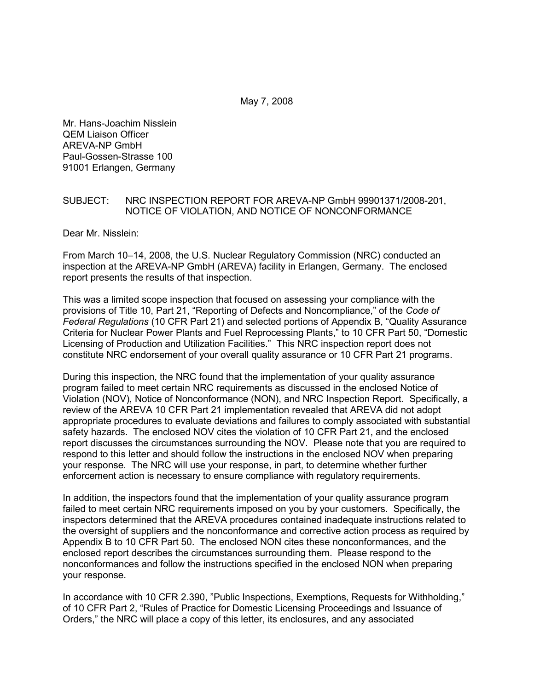Mr. Hans-Joachim Nisslein QEM Liaison Officer AREVA-NP GmbH Paul-Gossen-Strasse 100 91001 Erlangen, Germany

## SUBJECT: NRC INSPECTION REPORT FOR AREVA-NP GmbH 99901371/2008-201, NOTICE OF VIOLATION, AND NOTICE OF NONCONFORMANCE

Dear Mr. Nisslein:

From March 10–14, 2008, the U.S. Nuclear Regulatory Commission (NRC) conducted an inspection at the AREVA-NP GmbH (AREVA) facility in Erlangen, Germany. The enclosed report presents the results of that inspection.

This was a limited scope inspection that focused on assessing your compliance with the provisions of Title 10, Part 21, "Reporting of Defects and Noncompliance," of the *Code of Federal Regulations* (10 CFR Part 21) and selected portions of Appendix B, "Quality Assurance Criteria for Nuclear Power Plants and Fuel Reprocessing Plants," to 10 CFR Part 50, "Domestic Licensing of Production and Utilization Facilities." This NRC inspection report does not constitute NRC endorsement of your overall quality assurance or 10 CFR Part 21 programs.

During this inspection, the NRC found that the implementation of your quality assurance program failed to meet certain NRC requirements as discussed in the enclosed Notice of Violation (NOV), Notice of Nonconformance (NON), and NRC Inspection Report. Specifically, a review of the AREVA 10 CFR Part 21 implementation revealed that AREVA did not adopt appropriate procedures to evaluate deviations and failures to comply associated with substantial safety hazards. The enclosed NOV cites the violation of 10 CFR Part 21, and the enclosed report discusses the circumstances surrounding the NOV. Please note that you are required to respond to this letter and should follow the instructions in the enclosed NOV when preparing your response. The NRC will use your response, in part, to determine whether further enforcement action is necessary to ensure compliance with regulatory requirements.

In addition, the inspectors found that the implementation of your quality assurance program failed to meet certain NRC requirements imposed on you by your customers. Specifically, the inspectors determined that the AREVA procedures contained inadequate instructions related to the oversight of suppliers and the nonconformance and corrective action process as required by Appendix B to 10 CFR Part 50. The enclosed NON cites these nonconformances, and the enclosed report describes the circumstances surrounding them. Please respond to the nonconformances and follow the instructions specified in the enclosed NON when preparing your response.

In accordance with 10 CFR 2.390, "Public Inspections, Exemptions, Requests for Withholding," of 10 CFR Part 2, "Rules of Practice for Domestic Licensing Proceedings and Issuance of Orders," the NRC will place a copy of this letter, its enclosures, and any associated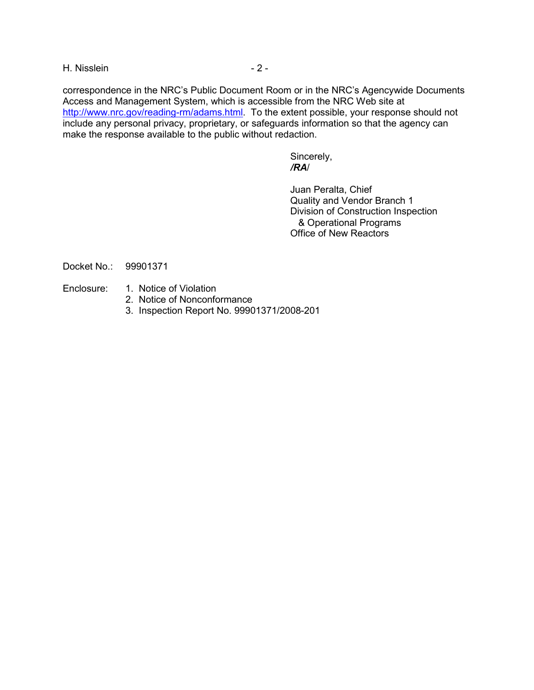H. Nisslein - 2 -

correspondence in the NRC's Public Document Room or in the NRC's Agencywide Documents Access and Management System, which is accessible from the NRC Web site at http://www.nrc.gov/reading-rm/adams.html. To the extent possible, your response should not include any personal privacy, proprietary, or safeguards information so that the agency can make the response available to the public without redaction.

Sincerely, */RA*/

> Juan Peralta, Chief Quality and Vendor Branch 1 Division of Construction Inspection & Operational Programs Office of New Reactors

Docket No.: 99901371

- Enclosure: 1. Notice of Violation
	- 2. Notice of Nonconformance
	- 3. Inspection Report No. 99901371/2008-201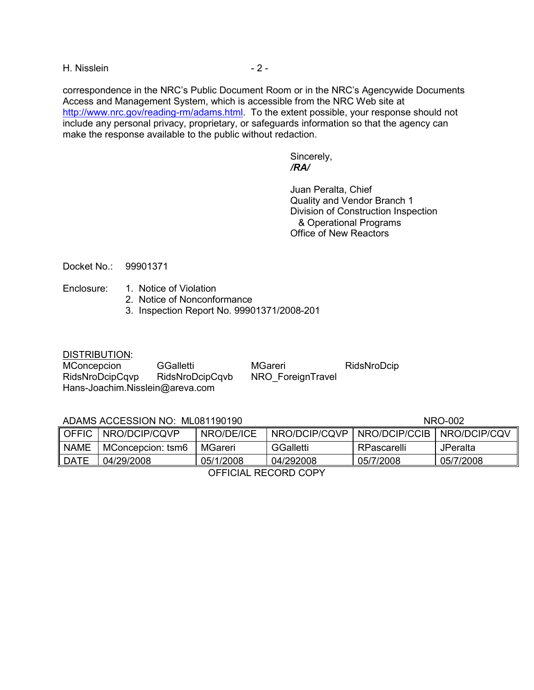H. Nisslein - 2 -

correspondence in the NRC's Public Document Room or in the NRC's Agencywide Documents Access and Management System, which is accessible from the NRC Web site at http://www.nrc.gov/reading-rm/adams.html. To the extent possible, your response should not include any personal privacy, proprietary, or safeguards information so that the agency can make the response available to the public without redaction.

Sincerely, */RA/* 

> Juan Peralta, Chief Quality and Vendor Branch 1 Division of Construction Inspection & Operational Programs Office of New Reactors

Docket No.: 99901371

- Enclosure: 1. Notice of Violation
	- 2. Notice of Nonconformance
	- 3. Inspection Report No. 99901371/2008-201

DISTRIBUTION:

| MConcepcion                     | GGalletti       | MGareri           | RidsNroDcip |
|---------------------------------|-----------------|-------------------|-------------|
| RidsNroDcipCqvp                 | RidsNroDcipCqvb | NRO ForeignTravel |             |
| Hans-Joachim.Nisslein@areva.com |                 |                   |             |

## ADAMS ACCESSION NO: ML081190190 NRO-002 NRO-002

OFFIC NRO/DCIP/CQVP NRO/DE/ICE NRO/DCIP/CQVP NRO/DCIP/CCIB NRO/DCIP/CQV NAME | MConcepcion: tsm6 | MGareri | GGalletti | RPascarelli | JPeralta DATE 04/29/2008 05/1/2008 04/292008 05/7/2008 05/7/2008

OFFICIAL RECORD COPY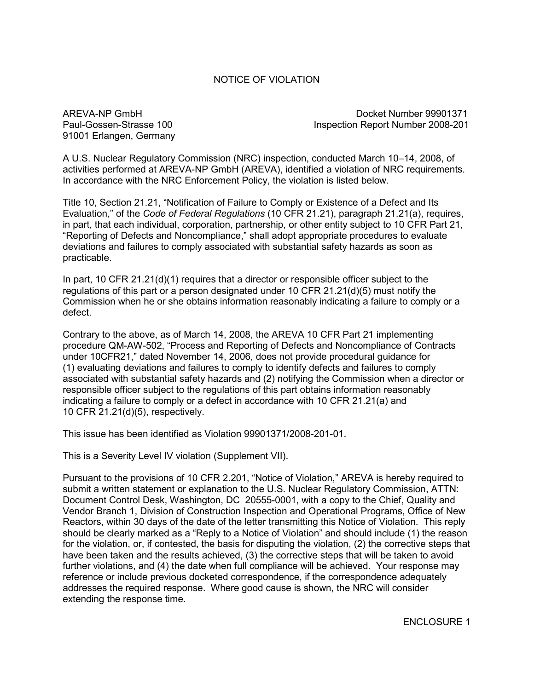# NOTICE OF VIOLATION

91001 Erlangen, Germany

AREVA-NP GmbH **Docket Number 99901371** Paul-Gossen-Strasse 100 Inspection Report Number 2008-201

A U.S. Nuclear Regulatory Commission (NRC) inspection, conducted March 10–14, 2008, of activities performed at AREVA-NP GmbH (AREVA), identified a violation of NRC requirements. In accordance with the NRC Enforcement Policy, the violation is listed below.

Title 10, Section 21.21, "Notification of Failure to Comply or Existence of a Defect and Its Evaluation," of the *Code of Federal Regulations* (10 CFR 21.21), paragraph 21.21(a), requires, in part, that each individual, corporation, partnership, or other entity subject to 10 CFR Part 21, "Reporting of Defects and Noncompliance," shall adopt appropriate procedures to evaluate deviations and failures to comply associated with substantial safety hazards as soon as practicable.

In part, 10 CFR 21.21(d)(1) requires that a director or responsible officer subject to the regulations of this part or a person designated under 10 CFR 21.21(d)(5) must notify the Commission when he or she obtains information reasonably indicating a failure to comply or a defect.

Contrary to the above, as of March 14, 2008, the AREVA 10 CFR Part 21 implementing procedure QM-AW-502, "Process and Reporting of Defects and Noncompliance of Contracts under 10CFR21," dated November 14, 2006, does not provide procedural guidance for (1) evaluating deviations and failures to comply to identify defects and failures to comply associated with substantial safety hazards and (2) notifying the Commission when a director or responsible officer subject to the regulations of this part obtains information reasonably indicating a failure to comply or a defect in accordance with 10 CFR 21.21(a) and 10 CFR 21.21(d)(5), respectively.

This issue has been identified as Violation 99901371/2008-201-01.

This is a Severity Level IV violation (Supplement VII).

Pursuant to the provisions of 10 CFR 2.201, "Notice of Violation," AREVA is hereby required to submit a written statement or explanation to the U.S. Nuclear Regulatory Commission, ATTN: Document Control Desk, Washington, DC 20555-0001, with a copy to the Chief, Quality and Vendor Branch 1, Division of Construction Inspection and Operational Programs, Office of New Reactors, within 30 days of the date of the letter transmitting this Notice of Violation. This reply should be clearly marked as a "Reply to a Notice of Violation" and should include (1) the reason for the violation, or, if contested, the basis for disputing the violation, (2) the corrective steps that have been taken and the results achieved, (3) the corrective steps that will be taken to avoid further violations, and (4) the date when full compliance will be achieved. Your response may reference or include previous docketed correspondence, if the correspondence adequately addresses the required response. Where good cause is shown, the NRC will consider extending the response time.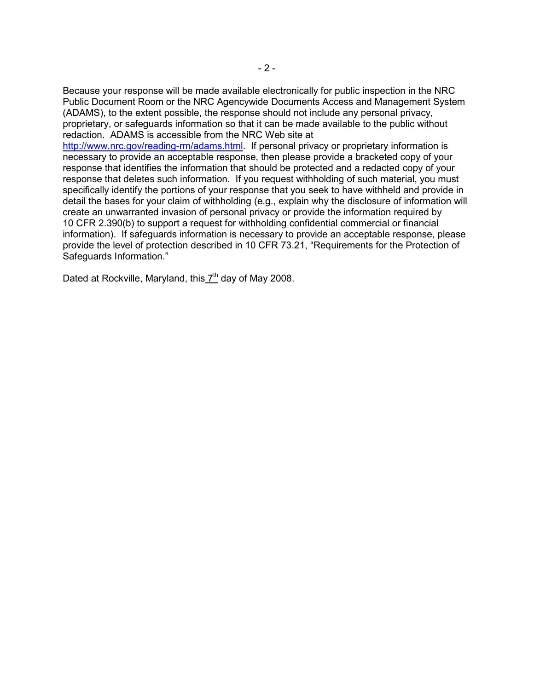Because your response will be made available electronically for public inspection in the NRC Public Document Room or the NRC Agencywide Documents Access and Management System (ADAMS), to the extent possible, the response should not include any personal privacy, proprietary, or safeguards information so that it can be made available to the public without redaction. ADAMS is accessible from the NRC Web site at

http://www.nrc.gov/reading-rm/adams.html. If personal privacy or proprietary information is necessary to provide an acceptable response, then please provide a bracketed copy of your response that identifies the information that should be protected and a redacted copy of your response that deletes such information. If you request withholding of such material, you must specifically identify the portions of your response that you seek to have withheld and provide in detail the bases for your claim of withholding (e.g., explain why the disclosure of information will create an unwarranted invasion of personal privacy or provide the information required by 10 CFR 2.390(b) to support a request for withholding confidential commercial or financial information). If safeguards information is necessary to provide an acceptable response, please provide the level of protection described in 10 CFR 73.21, "Requirements for the Protection of Safeguards Information."

Dated at Rockville, Maryland, this 7<sup>th</sup> day of May 2008.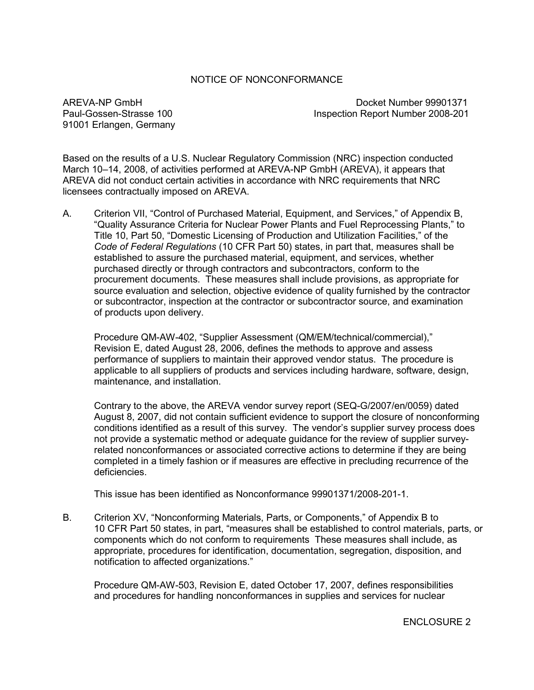## NOTICE OF NONCONFORMANCE

91001 Erlangen, Germany

AREVA-NP GmbH docket Number 99901371 Paul-Gossen-Strasse 100 Inspection Report Number 2008-201

Based on the results of a U.S. Nuclear Regulatory Commission (NRC) inspection conducted March 10–14, 2008, of activities performed at AREVA-NP GmbH (AREVA), it appears that AREVA did not conduct certain activities in accordance with NRC requirements that NRC licensees contractually imposed on AREVA.

A. Criterion VII, "Control of Purchased Material, Equipment, and Services," of Appendix B, "Quality Assurance Criteria for Nuclear Power Plants and Fuel Reprocessing Plants," to Title 10, Part 50, "Domestic Licensing of Production and Utilization Facilities," of the *Code of Federal Regulations* (10 CFR Part 50) states, in part that, measures shall be established to assure the purchased material, equipment, and services, whether purchased directly or through contractors and subcontractors, conform to the procurement documents. These measures shall include provisions, as appropriate for source evaluation and selection, objective evidence of quality furnished by the contractor or subcontractor, inspection at the contractor or subcontractor source, and examination of products upon delivery.

Procedure QM-AW-402, "Supplier Assessment (QM/EM/technical/commercial)," Revision E, dated August 28, 2006, defines the methods to approve and assess performance of suppliers to maintain their approved vendor status. The procedure is applicable to all suppliers of products and services including hardware, software, design, maintenance, and installation.

Contrary to the above, the AREVA vendor survey report (SEQ-G/2007/en/0059) dated August 8, 2007, did not contain sufficient evidence to support the closure of nonconforming conditions identified as a result of this survey. The vendor's supplier survey process does not provide a systematic method or adequate guidance for the review of supplier surveyrelated nonconformances or associated corrective actions to determine if they are being completed in a timely fashion or if measures are effective in precluding recurrence of the deficiencies.

This issue has been identified as Nonconformance 99901371/2008-201-1.

B. Criterion XV, "Nonconforming Materials, Parts, or Components," of Appendix B to 10 CFR Part 50 states, in part, "measures shall be established to control materials, parts, or components which do not conform to requirements These measures shall include, as appropriate, procedures for identification, documentation, segregation, disposition, and notification to affected organizations."

Procedure QM-AW-503, Revision E, dated October 17, 2007, defines responsibilities and procedures for handling nonconformances in supplies and services for nuclear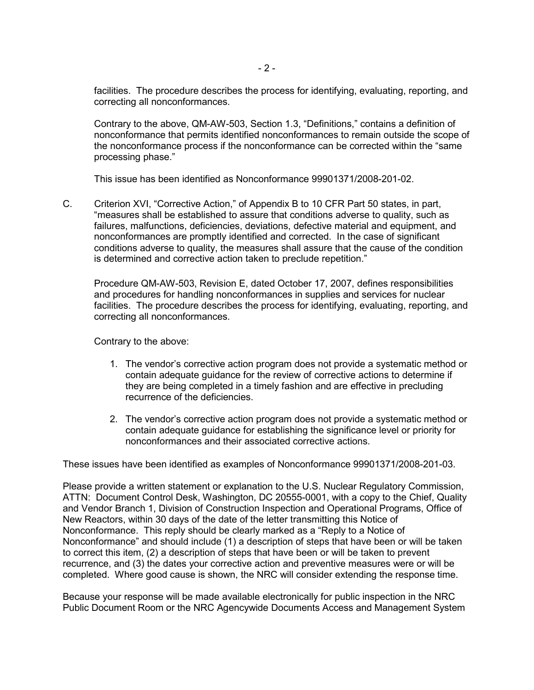facilities. The procedure describes the process for identifying, evaluating, reporting, and correcting all nonconformances.

Contrary to the above, QM-AW-503, Section 1.3, "Definitions," contains a definition of nonconformance that permits identified nonconformances to remain outside the scope of the nonconformance process if the nonconformance can be corrected within the "same processing phase."

This issue has been identified as Nonconformance 99901371/2008-201-02.

C. Criterion XVI, "Corrective Action," of Appendix B to 10 CFR Part 50 states, in part, "measures shall be established to assure that conditions adverse to quality, such as failures, malfunctions, deficiencies, deviations, defective material and equipment, and nonconformances are promptly identified and corrected. In the case of significant conditions adverse to quality, the measures shall assure that the cause of the condition is determined and corrective action taken to preclude repetition."

Procedure QM-AW-503, Revision E, dated October 17, 2007, defines responsibilities and procedures for handling nonconformances in supplies and services for nuclear facilities. The procedure describes the process for identifying, evaluating, reporting, and correcting all nonconformances.

Contrary to the above:

- 1. The vendor's corrective action program does not provide a systematic method or contain adequate guidance for the review of corrective actions to determine if they are being completed in a timely fashion and are effective in precluding recurrence of the deficiencies.
- 2. The vendor's corrective action program does not provide a systematic method or contain adequate guidance for establishing the significance level or priority for nonconformances and their associated corrective actions.

These issues have been identified as examples of Nonconformance 99901371/2008-201-03.

Please provide a written statement or explanation to the U.S. Nuclear Regulatory Commission, ATTN: Document Control Desk, Washington, DC 20555-0001, with a copy to the Chief, Quality and Vendor Branch 1, Division of Construction Inspection and Operational Programs, Office of New Reactors, within 30 days of the date of the letter transmitting this Notice of Nonconformance. This reply should be clearly marked as a "Reply to a Notice of Nonconformance" and should include (1) a description of steps that have been or will be taken to correct this item, (2) a description of steps that have been or will be taken to prevent recurrence, and (3) the dates your corrective action and preventive measures were or will be completed. Where good cause is shown, the NRC will consider extending the response time.

Because your response will be made available electronically for public inspection in the NRC Public Document Room or the NRC Agencywide Documents Access and Management System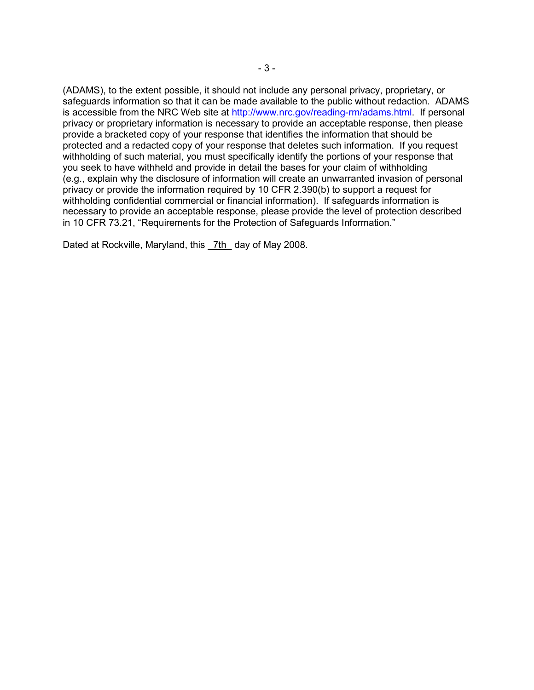(ADAMS), to the extent possible, it should not include any personal privacy, proprietary, or safeguards information so that it can be made available to the public without redaction. ADAMS is accessible from the NRC Web site at http://www.nrc.gov/reading-rm/adams.html. If personal privacy or proprietary information is necessary to provide an acceptable response, then please provide a bracketed copy of your response that identifies the information that should be protected and a redacted copy of your response that deletes such information. If you request withholding of such material, you must specifically identify the portions of your response that you seek to have withheld and provide in detail the bases for your claim of withholding (e.g., explain why the disclosure of information will create an unwarranted invasion of personal privacy or provide the information required by 10 CFR 2.390(b) to support a request for withholding confidential commercial or financial information). If safeguards information is necessary to provide an acceptable response, please provide the level of protection described in 10 CFR 73.21, "Requirements for the Protection of Safeguards Information."

Dated at Rockville, Maryland, this 7th day of May 2008.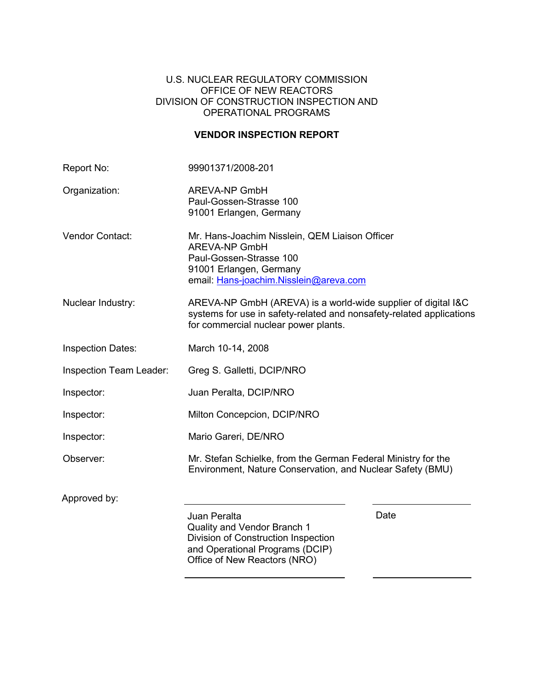## U.S. NUCLEAR REGULATORY COMMISSION OFFICE OF NEW REACTORS DIVISION OF CONSTRUCTION INSPECTION AND OPERATIONAL PROGRAMS

# **VENDOR INSPECTION REPORT**

| Report No:               | 99901371/2008-201                                                                                                                                                             |      |
|--------------------------|-------------------------------------------------------------------------------------------------------------------------------------------------------------------------------|------|
| Organization:            | <b>AREVA-NP GmbH</b><br>Paul-Gossen-Strasse 100<br>91001 Erlangen, Germany                                                                                                    |      |
| Vendor Contact:          | Mr. Hans-Joachim Nisslein, QEM Liaison Officer<br><b>AREVA-NP GmbH</b><br>Paul-Gossen-Strasse 100<br>91001 Erlangen, Germany<br>email: Hans-joachim.Nisslein@areva.com        |      |
| Nuclear Industry:        | AREVA-NP GmbH (AREVA) is a world-wide supplier of digital I&C<br>systems for use in safety-related and nonsafety-related applications<br>for commercial nuclear power plants. |      |
| <b>Inspection Dates:</b> | March 10-14, 2008                                                                                                                                                             |      |
| Inspection Team Leader:  | Greg S. Galletti, DCIP/NRO                                                                                                                                                    |      |
| Inspector:               | Juan Peralta, DCIP/NRO                                                                                                                                                        |      |
| Inspector:               | Milton Concepcion, DCIP/NRO                                                                                                                                                   |      |
| Inspector:               | Mario Gareri, DE/NRO                                                                                                                                                          |      |
| Observer:                | Mr. Stefan Schielke, from the German Federal Ministry for the<br>Environment, Nature Conservation, and Nuclear Safety (BMU)                                                   |      |
| Approved by:             |                                                                                                                                                                               |      |
|                          | Juan Peralta<br>Quality and Vendor Branch 1<br>Division of Construction Inspection<br>and Operational Programs (DCIP)<br>Office of New Reactors (NRO)                         | Date |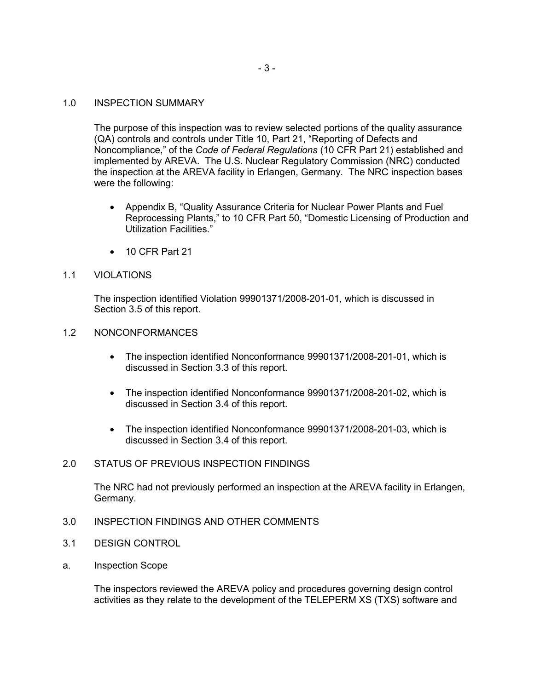## 1.0 INSPECTION SUMMARY

The purpose of this inspection was to review selected portions of the quality assurance (QA) controls and controls under Title 10, Part 21, "Reporting of Defects and Noncompliance," of the *Code of Federal Regulations* (10 CFR Part 21) established and implemented by AREVA. The U.S. Nuclear Regulatory Commission (NRC) conducted the inspection at the AREVA facility in Erlangen, Germany. The NRC inspection bases were the following:

- Appendix B, "Quality Assurance Criteria for Nuclear Power Plants and Fuel Reprocessing Plants," to 10 CFR Part 50, "Domestic Licensing of Production and Utilization Facilities."
- 10 CFR Part 21

## 1.1 VIOLATIONS

The inspection identified Violation 99901371/2008-201-01, which is discussed in Section 3.5 of this report.

## 1.2 NONCONFORMANCES

- The inspection identified Nonconformance 99901371/2008-201-01, which is discussed in Section 3.3 of this report.
- The inspection identified Nonconformance 99901371/2008-201-02, which is discussed in Section 3.4 of this report.
- The inspection identified Nonconformance 99901371/2008-201-03, which is discussed in Section 3.4 of this report.

## 2.0 STATUS OF PREVIOUS INSPECTION FINDINGS

The NRC had not previously performed an inspection at the AREVA facility in Erlangen, Germany.

- 3.0 INSPECTION FINDINGS AND OTHER COMMENTS
- 3.1 DESIGN CONTROL
- a. Inspection Scope

The inspectors reviewed the AREVA policy and procedures governing design control activities as they relate to the development of the TELEPERM XS (TXS) software and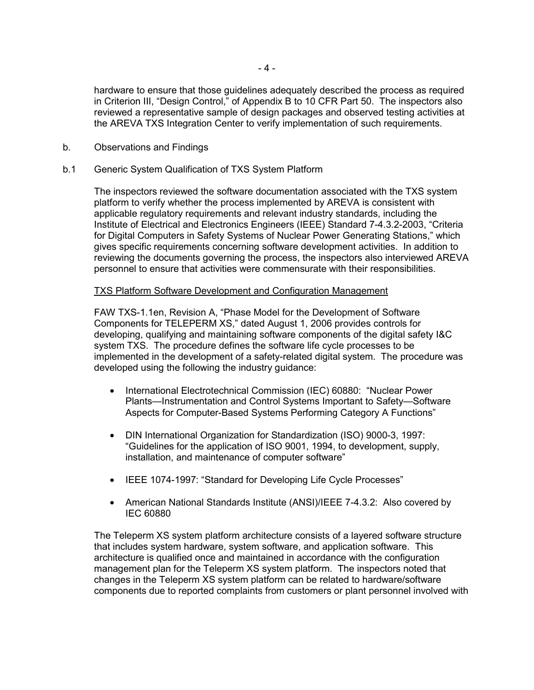hardware to ensure that those guidelines adequately described the process as required in Criterion III, "Design Control," of Appendix B to 10 CFR Part 50. The inspectors also reviewed a representative sample of design packages and observed testing activities at the AREVA TXS Integration Center to verify implementation of such requirements.

b. Observations and Findings

#### b.1 Generic System Qualification of TXS System Platform

The inspectors reviewed the software documentation associated with the TXS system platform to verify whether the process implemented by AREVA is consistent with applicable regulatory requirements and relevant industry standards, including the Institute of Electrical and Electronics Engineers (IEEE) Standard 7-4.3.2-2003, "Criteria for Digital Computers in Safety Systems of Nuclear Power Generating Stations," which gives specific requirements concerning software development activities. In addition to reviewing the documents governing the process, the inspectors also interviewed AREVA personnel to ensure that activities were commensurate with their responsibilities.

#### TXS Platform Software Development and Configuration Management

FAW TXS-1.1en, Revision A, "Phase Model for the Development of Software Components for TELEPERM XS," dated August 1, 2006 provides controls for developing, qualifying and maintaining software components of the digital safety I&C system TXS. The procedure defines the software life cycle processes to be implemented in the development of a safety-related digital system. The procedure was developed using the following the industry guidance:

- International Electrotechnical Commission (IEC) 60880: "Nuclear Power Plants—Instrumentation and Control Systems Important to Safety—Software Aspects for Computer-Based Systems Performing Category A Functions"
- DIN International Organization for Standardization (ISO) 9000-3, 1997: "Guidelines for the application of ISO 9001, 1994, to development, supply, installation, and maintenance of computer software"
- IEEE 1074-1997: "Standard for Developing Life Cycle Processes"
- American National Standards Institute (ANSI)/IEEE 7-4.3.2: Also covered by IEC 60880

The Teleperm XS system platform architecture consists of a layered software structure that includes system hardware, system software, and application software. This architecture is qualified once and maintained in accordance with the configuration management plan for the Teleperm XS system platform. The inspectors noted that changes in the Teleperm XS system platform can be related to hardware/software components due to reported complaints from customers or plant personnel involved with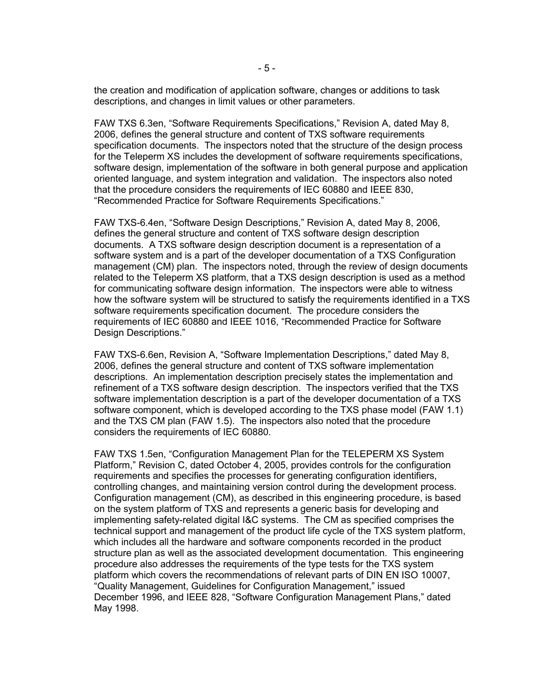the creation and modification of application software, changes or additions to task descriptions, and changes in limit values or other parameters.

FAW TXS 6.3en, "Software Requirements Specifications," Revision A, dated May 8, 2006, defines the general structure and content of TXS software requirements specification documents. The inspectors noted that the structure of the design process for the Teleperm XS includes the development of software requirements specifications, software design, implementation of the software in both general purpose and application oriented language, and system integration and validation. The inspectors also noted that the procedure considers the requirements of IEC 60880 and IEEE 830, "Recommended Practice for Software Requirements Specifications."

FAW TXS-6.4en, "Software Design Descriptions," Revision A, dated May 8, 2006, defines the general structure and content of TXS software design description documents. A TXS software design description document is a representation of a software system and is a part of the developer documentation of a TXS Configuration management (CM) plan. The inspectors noted, through the review of design documents related to the Teleperm XS platform, that a TXS design description is used as a method for communicating software design information. The inspectors were able to witness how the software system will be structured to satisfy the requirements identified in a TXS software requirements specification document. The procedure considers the requirements of IEC 60880 and IEEE 1016, "Recommended Practice for Software Design Descriptions."

FAW TXS-6.6en, Revision A, "Software Implementation Descriptions," dated May 8, 2006, defines the general structure and content of TXS software implementation descriptions. An implementation description precisely states the implementation and refinement of a TXS software design description. The inspectors verified that the TXS software implementation description is a part of the developer documentation of a TXS software component, which is developed according to the TXS phase model (FAW 1.1) and the TXS CM plan (FAW 1.5). The inspectors also noted that the procedure considers the requirements of IEC 60880.

FAW TXS 1.5en, "Configuration Management Plan for the TELEPERM XS System Platform," Revision C, dated October 4, 2005, provides controls for the configuration requirements and specifies the processes for generating configuration identifiers, controlling changes, and maintaining version control during the development process. Configuration management (CM), as described in this engineering procedure, is based on the system platform of TXS and represents a generic basis for developing and implementing safety-related digital I&C systems. The CM as specified comprises the technical support and management of the product life cycle of the TXS system platform, which includes all the hardware and software components recorded in the product structure plan as well as the associated development documentation. This engineering procedure also addresses the requirements of the type tests for the TXS system platform which covers the recommendations of relevant parts of DIN EN ISO 10007, "Quality Management, Guidelines for Configuration Management," issued December 1996, and IEEE 828, "Software Configuration Management Plans," dated May 1998.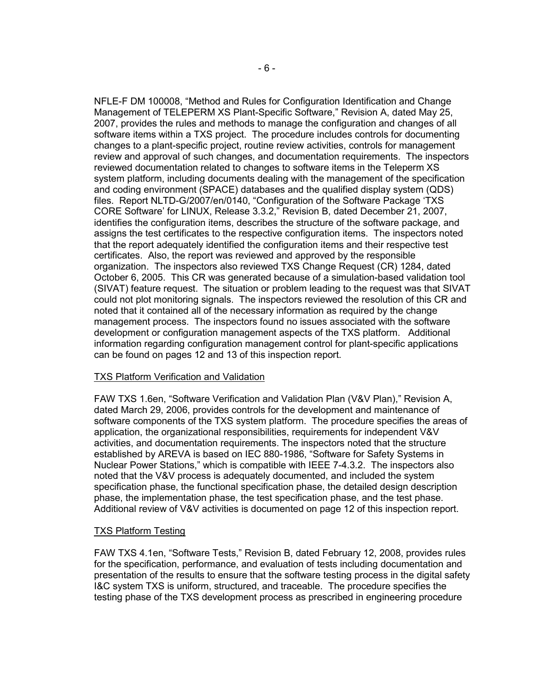NFLE-F DM 100008, "Method and Rules for Configuration Identification and Change Management of TELEPERM XS Plant-Specific Software," Revision A, dated May 25, 2007, provides the rules and methods to manage the configuration and changes of all software items within a TXS project. The procedure includes controls for documenting changes to a plant-specific project, routine review activities, controls for management review and approval of such changes, and documentation requirements. The inspectors reviewed documentation related to changes to software items in the Teleperm XS system platform, including documents dealing with the management of the specification and coding environment (SPACE) databases and the qualified display system (QDS) files. Report NLTD-G/2007/en/0140, "Configuration of the Software Package 'TXS CORE Software' for LINUX, Release 3.3.2," Revision B, dated December 21, 2007, identifies the configuration items, describes the structure of the software package, and assigns the test certificates to the respective configuration items. The inspectors noted that the report adequately identified the configuration items and their respective test certificates. Also, the report was reviewed and approved by the responsible organization. The inspectors also reviewed TXS Change Request (CR) 1284, dated October 6, 2005. This CR was generated because of a simulation-based validation tool (SIVAT) feature request. The situation or problem leading to the request was that SIVAT could not plot monitoring signals. The inspectors reviewed the resolution of this CR and noted that it contained all of the necessary information as required by the change management process. The inspectors found no issues associated with the software development or configuration management aspects of the TXS platform. Additional information regarding configuration management control for plant-specific applications can be found on pages 12 and 13 of this inspection report.

## TXS Platform Verification and Validation

FAW TXS 1.6en, "Software Verification and Validation Plan (V&V Plan)," Revision A, dated March 29, 2006, provides controls for the development and maintenance of software components of the TXS system platform. The procedure specifies the areas of application, the organizational responsibilities, requirements for independent V&V activities, and documentation requirements. The inspectors noted that the structure established by AREVA is based on IEC 880-1986, "Software for Safety Systems in Nuclear Power Stations," which is compatible with IEEE 7-4.3.2. The inspectors also noted that the V&V process is adequately documented, and included the system specification phase, the functional specification phase, the detailed design description phase, the implementation phase, the test specification phase, and the test phase. Additional review of V&V activities is documented on page 12 of this inspection report.

#### TXS Platform Testing

FAW TXS 4.1en, "Software Tests," Revision B, dated February 12, 2008, provides rules for the specification, performance, and evaluation of tests including documentation and presentation of the results to ensure that the software testing process in the digital safety I&C system TXS is uniform, structured, and traceable. The procedure specifies the testing phase of the TXS development process as prescribed in engineering procedure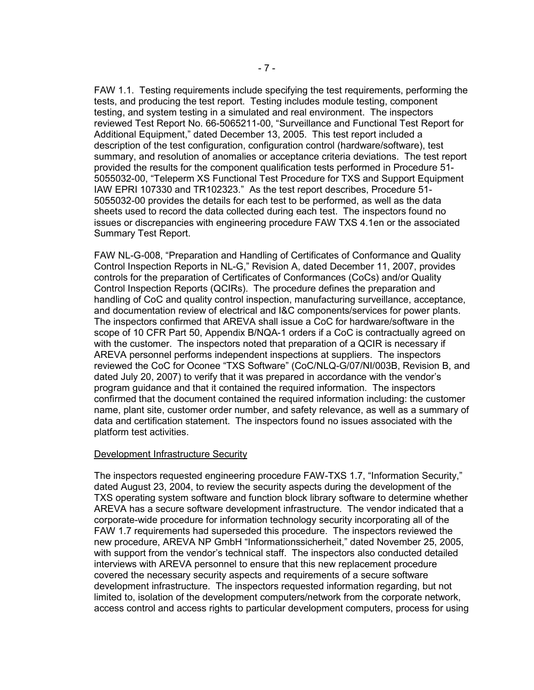FAW 1.1. Testing requirements include specifying the test requirements, performing the tests, and producing the test report. Testing includes module testing, component testing, and system testing in a simulated and real environment. The inspectors reviewed Test Report No. 66-5065211-00, "Surveillance and Functional Test Report for Additional Equipment," dated December 13, 2005. This test report included a description of the test configuration, configuration control (hardware/software), test summary, and resolution of anomalies or acceptance criteria deviations. The test report provided the results for the component qualification tests performed in Procedure 51- 5055032-00, "Teleperm XS Functional Test Procedure for TXS and Support Equipment IAW EPRI 107330 and TR102323." As the test report describes, Procedure 51- 5055032-00 provides the details for each test to be performed, as well as the data sheets used to record the data collected during each test. The inspectors found no issues or discrepancies with engineering procedure FAW TXS 4.1en or the associated Summary Test Report.

FAW NL-G-008, "Preparation and Handling of Certificates of Conformance and Quality Control Inspection Reports in NL-G," Revision A, dated December 11, 2007, provides controls for the preparation of Certificates of Conformances (CoCs) and/or Quality Control Inspection Reports (QCIRs). The procedure defines the preparation and handling of CoC and quality control inspection, manufacturing surveillance, acceptance, and documentation review of electrical and I&C components/services for power plants. The inspectors confirmed that AREVA shall issue a CoC for hardware/software in the scope of 10 CFR Part 50, Appendix B/NQA-1 orders if a CoC is contractually agreed on with the customer. The inspectors noted that preparation of a QCIR is necessary if AREVA personnel performs independent inspections at suppliers. The inspectors reviewed the CoC for Oconee "TXS Software" (CoC/NLQ-G/07/NI/003B, Revision B, and dated July 20, 2007) to verify that it was prepared in accordance with the vendor's program guidance and that it contained the required information. The inspectors confirmed that the document contained the required information including: the customer name, plant site, customer order number, and safety relevance, as well as a summary of data and certification statement. The inspectors found no issues associated with the platform test activities.

#### Development Infrastructure Security

The inspectors requested engineering procedure FAW-TXS 1.7, "Information Security," dated August 23, 2004, to review the security aspects during the development of the TXS operating system software and function block library software to determine whether AREVA has a secure software development infrastructure. The vendor indicated that a corporate-wide procedure for information technology security incorporating all of the FAW 1.7 requirements had superseded this procedure. The inspectors reviewed the new procedure, AREVA NP GmbH "Informationssicherheit," dated November 25, 2005, with support from the vendor's technical staff. The inspectors also conducted detailed interviews with AREVA personnel to ensure that this new replacement procedure covered the necessary security aspects and requirements of a secure software development infrastructure. The inspectors requested information regarding, but not limited to, isolation of the development computers/network from the corporate network, access control and access rights to particular development computers, process for using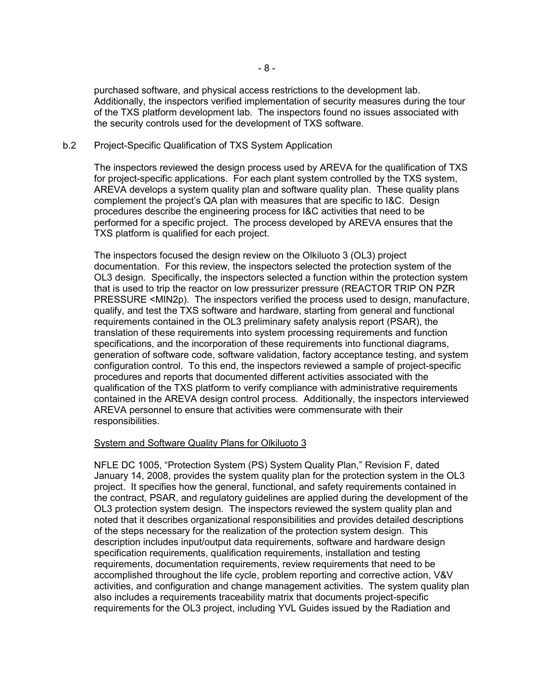purchased software, and physical access restrictions to the development lab. Additionally, the inspectors verified implementation of security measures during the tour of the TXS platform development lab. The inspectors found no issues associated with the security controls used for the development of TXS software.

#### b.2 Project-Specific Qualification of TXS System Application

The inspectors reviewed the design process used by AREVA for the qualification of TXS for project-specific applications. For each plant system controlled by the TXS system, AREVA develops a system quality plan and software quality plan. These quality plans complement the project's QA plan with measures that are specific to I&C. Design procedures describe the engineering process for I&C activities that need to be performed for a specific project. The process developed by AREVA ensures that the TXS platform is qualified for each project.

The inspectors focused the design review on the Olkiluoto 3 (OL3) project documentation. For this review, the inspectors selected the protection system of the OL3 design. Specifically, the inspectors selected a function within the protection system that is used to trip the reactor on low pressurizer pressure (REACTOR TRIP ON PZR PRESSURE <MIN2p). The inspectors verified the process used to design, manufacture, qualify, and test the TXS software and hardware, starting from general and functional requirements contained in the OL3 preliminary safety analysis report (PSAR), the translation of these requirements into system processing requirements and function specifications, and the incorporation of these requirements into functional diagrams, generation of software code, software validation, factory acceptance testing, and system configuration control. To this end, the inspectors reviewed a sample of project-specific procedures and reports that documented different activities associated with the qualification of the TXS platform to verify compliance with administrative requirements contained in the AREVA design control process. Additionally, the inspectors interviewed AREVA personnel to ensure that activities were commensurate with their responsibilities.

## System and Software Quality Plans for Olkiluoto 3

NFLE DC 1005, "Protection System (PS) System Quality Plan," Revision F, dated January 14, 2008, provides the system quality plan for the protection system in the OL3 project. It specifies how the general, functional, and safety requirements contained in the contract, PSAR, and regulatory guidelines are applied during the development of the OL3 protection system design. The inspectors reviewed the system quality plan and noted that it describes organizational responsibilities and provides detailed descriptions of the steps necessary for the realization of the protection system design. This description includes input/output data requirements, software and hardware design specification requirements, qualification requirements, installation and testing requirements, documentation requirements, review requirements that need to be accomplished throughout the life cycle, problem reporting and corrective action, V&V activities, and configuration and change management activities. The system quality plan also includes a requirements traceability matrix that documents project-specific requirements for the OL3 project, including YVL Guides issued by the Radiation and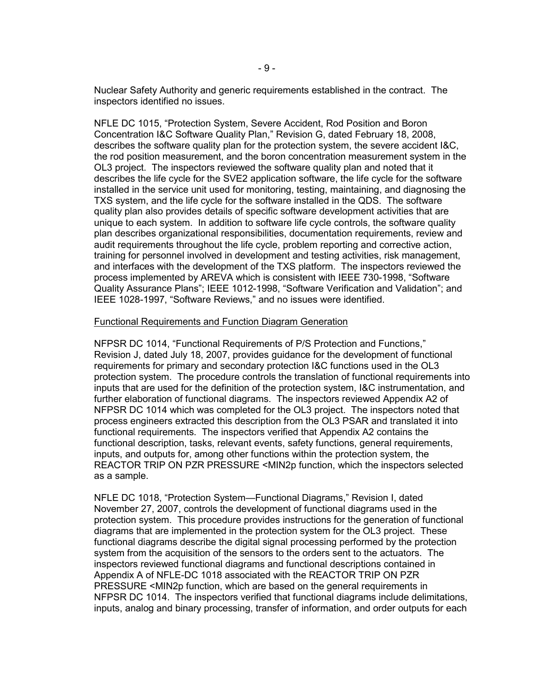Nuclear Safety Authority and generic requirements established in the contract. The inspectors identified no issues.

NFLE DC 1015, "Protection System, Severe Accident, Rod Position and Boron Concentration I&C Software Quality Plan," Revision G, dated February 18, 2008, describes the software quality plan for the protection system, the severe accident I&C, the rod position measurement, and the boron concentration measurement system in the OL3 project. The inspectors reviewed the software quality plan and noted that it describes the life cycle for the SVE2 application software, the life cycle for the software installed in the service unit used for monitoring, testing, maintaining, and diagnosing the TXS system, and the life cycle for the software installed in the QDS. The software quality plan also provides details of specific software development activities that are unique to each system. In addition to software life cycle controls, the software quality plan describes organizational responsibilities, documentation requirements, review and audit requirements throughout the life cycle, problem reporting and corrective action, training for personnel involved in development and testing activities, risk management, and interfaces with the development of the TXS platform. The inspectors reviewed the process implemented by AREVA which is consistent with IEEE 730-1998, "Software Quality Assurance Plans"; IEEE 1012-1998, "Software Verification and Validation"; and IEEE 1028-1997, "Software Reviews," and no issues were identified.

#### Functional Requirements and Function Diagram Generation

NFPSR DC 1014, "Functional Requirements of P/S Protection and Functions," Revision J, dated July 18, 2007, provides guidance for the development of functional requirements for primary and secondary protection I&C functions used in the OL3 protection system. The procedure controls the translation of functional requirements into inputs that are used for the definition of the protection system, I&C instrumentation, and further elaboration of functional diagrams. The inspectors reviewed Appendix A2 of NFPSR DC 1014 which was completed for the OL3 project. The inspectors noted that process engineers extracted this description from the OL3 PSAR and translated it into functional requirements. The inspectors verified that Appendix A2 contains the functional description, tasks, relevant events, safety functions, general requirements, inputs, and outputs for, among other functions within the protection system, the REACTOR TRIP ON PZR PRESSURE <MIN2p function, which the inspectors selected as a sample.

NFLE DC 1018, "Protection System—Functional Diagrams," Revision I, dated November 27, 2007, controls the development of functional diagrams used in the protection system. This procedure provides instructions for the generation of functional diagrams that are implemented in the protection system for the OL3 project. These functional diagrams describe the digital signal processing performed by the protection system from the acquisition of the sensors to the orders sent to the actuators. The inspectors reviewed functional diagrams and functional descriptions contained in Appendix A of NFLE-DC 1018 associated with the REACTOR TRIP ON PZR PRESSURE <MIN2p function, which are based on the general requirements in NFPSR DC 1014. The inspectors verified that functional diagrams include delimitations, inputs, analog and binary processing, transfer of information, and order outputs for each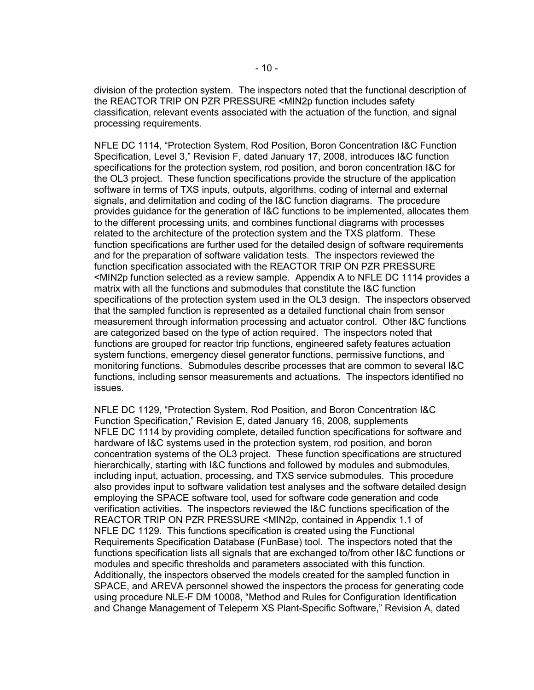division of the protection system. The inspectors noted that the functional description of the REACTOR TRIP ON PZR PRESSURE <MIN2p function includes safety classification, relevant events associated with the actuation of the function, and signal processing requirements.

NFLE DC 1114, "Protection System, Rod Position, Boron Concentration I&C Function Specification, Level 3," Revision F, dated January 17, 2008, introduces I&C function specifications for the protection system, rod position, and boron concentration I&C for the OL3 project. These function specifications provide the structure of the application software in terms of TXS inputs, outputs, algorithms, coding of internal and external signals, and delimitation and coding of the I&C function diagrams. The procedure provides guidance for the generation of I&C functions to be implemented, allocates them to the different processing units, and combines functional diagrams with processes related to the architecture of the protection system and the TXS platform. These function specifications are further used for the detailed design of software requirements and for the preparation of software validation tests. The inspectors reviewed the function specification associated with the REACTOR TRIP ON PZR PRESSURE <MIN2p function selected as a review sample. Appendix A to NFLE DC 1114 provides a matrix with all the functions and submodules that constitute the I&C function specifications of the protection system used in the OL3 design. The inspectors observed that the sampled function is represented as a detailed functional chain from sensor measurement through information processing and actuator control. Other I&C functions are categorized based on the type of action required. The inspectors noted that functions are grouped for reactor trip functions, engineered safety features actuation system functions, emergency diesel generator functions, permissive functions, and monitoring functions. Submodules describe processes that are common to several I&C functions, including sensor measurements and actuations. The inspectors identified no issues.

NFLE DC 1129, "Protection System, Rod Position, and Boron Concentration I&C Function Specification," Revision E, dated January 16, 2008, supplements NFLE DC 1114 by providing complete, detailed function specifications for software and hardware of I&C systems used in the protection system, rod position, and boron concentration systems of the OL3 project. These function specifications are structured hierarchically, starting with I&C functions and followed by modules and submodules, including input, actuation, processing, and TXS service submodules. This procedure also provides input to software validation test analyses and the software detailed design employing the SPACE software tool, used for software code generation and code verification activities. The inspectors reviewed the I&C functions specification of the REACTOR TRIP ON PZR PRESSURE <MIN2p, contained in Appendix 1.1 of NFLE DC 1129. This functions specification is created using the Functional Requirements Specification Database (FunBase) tool. The inspectors noted that the functions specification lists all signals that are exchanged to/from other I&C functions or modules and specific thresholds and parameters associated with this function. Additionally, the inspectors observed the models created for the sampled function in SPACE, and AREVA personnel showed the inspectors the process for generating code using procedure NLE-F DM 10008, "Method and Rules for Configuration Identification and Change Management of Teleperm XS Plant-Specific Software," Revision A, dated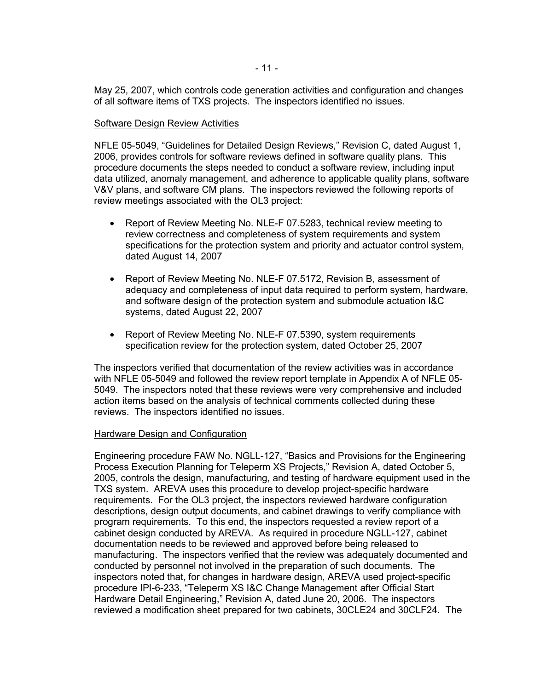May 25, 2007, which controls code generation activities and configuration and changes of all software items of TXS projects. The inspectors identified no issues.

#### Software Design Review Activities

NFLE 05-5049, "Guidelines for Detailed Design Reviews," Revision C, dated August 1, 2006, provides controls for software reviews defined in software quality plans. This procedure documents the steps needed to conduct a software review, including input data utilized, anomaly management, and adherence to applicable quality plans, software V&V plans, and software CM plans. The inspectors reviewed the following reports of review meetings associated with the OL3 project:

- Report of Review Meeting No. NLE-F 07.5283, technical review meeting to review correctness and completeness of system requirements and system specifications for the protection system and priority and actuator control system, dated August 14, 2007
- Report of Review Meeting No. NLE-F 07.5172, Revision B, assessment of adequacy and completeness of input data required to perform system, hardware, and software design of the protection system and submodule actuation I&C systems, dated August 22, 2007
- Report of Review Meeting No. NLE-F 07.5390, system requirements specification review for the protection system, dated October 25, 2007

The inspectors verified that documentation of the review activities was in accordance with NFLE 05-5049 and followed the review report template in Appendix A of NFLE 05- 5049. The inspectors noted that these reviews were very comprehensive and included action items based on the analysis of technical comments collected during these reviews. The inspectors identified no issues.

## Hardware Design and Configuration

Engineering procedure FAW No. NGLL-127, "Basics and Provisions for the Engineering Process Execution Planning for Teleperm XS Projects," Revision A, dated October 5, 2005, controls the design, manufacturing, and testing of hardware equipment used in the TXS system. AREVA uses this procedure to develop project-specific hardware requirements. For the OL3 project, the inspectors reviewed hardware configuration descriptions, design output documents, and cabinet drawings to verify compliance with program requirements. To this end, the inspectors requested a review report of a cabinet design conducted by AREVA. As required in procedure NGLL-127, cabinet documentation needs to be reviewed and approved before being released to manufacturing. The inspectors verified that the review was adequately documented and conducted by personnel not involved in the preparation of such documents. The inspectors noted that, for changes in hardware design, AREVA used project-specific procedure IPI-6-233, "Teleperm XS I&C Change Management after Official Start Hardware Detail Engineering," Revision A, dated June 20, 2006. The inspectors reviewed a modification sheet prepared for two cabinets, 30CLE24 and 30CLF24. The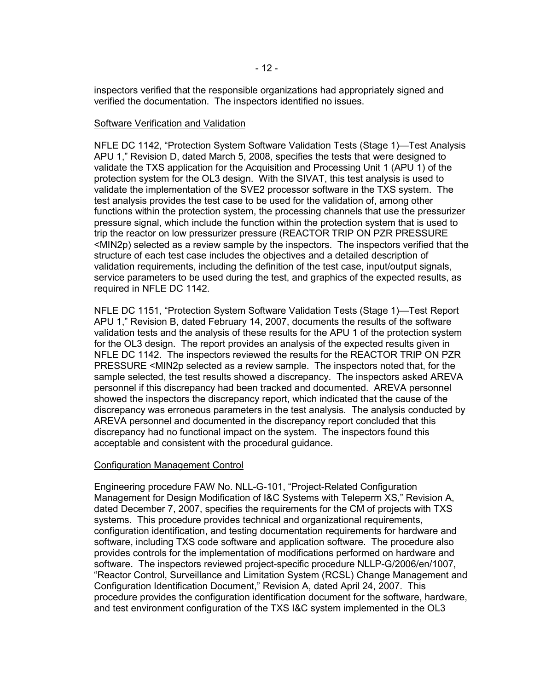inspectors verified that the responsible organizations had appropriately signed and verified the documentation. The inspectors identified no issues.

#### Software Verification and Validation

NFLE DC 1142, "Protection System Software Validation Tests (Stage 1)—Test Analysis APU 1," Revision D, dated March 5, 2008, specifies the tests that were designed to validate the TXS application for the Acquisition and Processing Unit 1 (APU 1) of the protection system for the OL3 design. With the SIVAT, this test analysis is used to validate the implementation of the SVE2 processor software in the TXS system. The test analysis provides the test case to be used for the validation of, among other functions within the protection system, the processing channels that use the pressurizer pressure signal, which include the function within the protection system that is used to trip the reactor on low pressurizer pressure (REACTOR TRIP ON PZR PRESSURE <MIN2p) selected as a review sample by the inspectors. The inspectors verified that the structure of each test case includes the objectives and a detailed description of validation requirements, including the definition of the test case, input/output signals, service parameters to be used during the test, and graphics of the expected results, as required in NFLE DC 1142.

NFLE DC 1151, "Protection System Software Validation Tests (Stage 1)—Test Report APU 1," Revision B, dated February 14, 2007, documents the results of the software validation tests and the analysis of these results for the APU 1 of the protection system for the OL3 design. The report provides an analysis of the expected results given in NFLE DC 1142. The inspectors reviewed the results for the REACTOR TRIP ON PZR PRESSURE <MIN2p selected as a review sample. The inspectors noted that, for the sample selected, the test results showed a discrepancy. The inspectors asked AREVA personnel if this discrepancy had been tracked and documented. AREVA personnel showed the inspectors the discrepancy report, which indicated that the cause of the discrepancy was erroneous parameters in the test analysis. The analysis conducted by AREVA personnel and documented in the discrepancy report concluded that this discrepancy had no functional impact on the system. The inspectors found this acceptable and consistent with the procedural guidance.

## Configuration Management Control

Engineering procedure FAW No. NLL-G-101, "Project-Related Configuration Management for Design Modification of I&C Systems with Teleperm XS," Revision A, dated December 7, 2007, specifies the requirements for the CM of projects with TXS systems. This procedure provides technical and organizational requirements, configuration identification, and testing documentation requirements for hardware and software, including TXS code software and application software. The procedure also provides controls for the implementation of modifications performed on hardware and software. The inspectors reviewed project-specific procedure NLLP-G/2006/en/1007, "Reactor Control, Surveillance and Limitation System (RCSL) Change Management and Configuration Identification Document," Revision A, dated April 24, 2007. This procedure provides the configuration identification document for the software, hardware, and test environment configuration of the TXS I&C system implemented in the OL3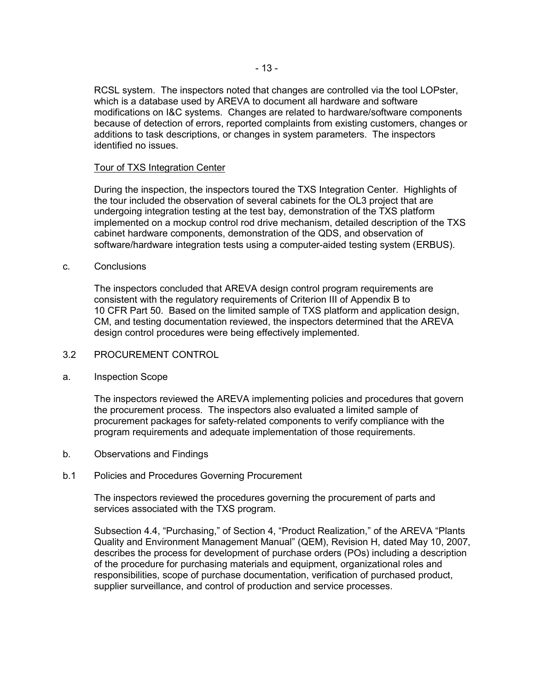RCSL system. The inspectors noted that changes are controlled via the tool LOPster, which is a database used by AREVA to document all hardware and software modifications on I&C systems. Changes are related to hardware/software components because of detection of errors, reported complaints from existing customers, changes or additions to task descriptions, or changes in system parameters. The inspectors identified no issues.

## Tour of TXS Integration Center

During the inspection, the inspectors toured the TXS Integration Center. Highlights of the tour included the observation of several cabinets for the OL3 project that are undergoing integration testing at the test bay, demonstration of the TXS platform implemented on a mockup control rod drive mechanism, detailed description of the TXS cabinet hardware components, demonstration of the QDS, and observation of software/hardware integration tests using a computer-aided testing system (ERBUS).

## c. Conclusions

The inspectors concluded that AREVA design control program requirements are consistent with the regulatory requirements of Criterion III of Appendix B to 10 CFR Part 50. Based on the limited sample of TXS platform and application design, CM, and testing documentation reviewed, the inspectors determined that the AREVA design control procedures were being effectively implemented.

# 3.2 PROCUREMENT CONTROL

# a. Inspection Scope

The inspectors reviewed the AREVA implementing policies and procedures that govern the procurement process. The inspectors also evaluated a limited sample of procurement packages for safety-related components to verify compliance with the program requirements and adequate implementation of those requirements.

b. Observations and Findings

# b.1 Policies and Procedures Governing Procurement

The inspectors reviewed the procedures governing the procurement of parts and services associated with the TXS program.

Subsection 4.4, "Purchasing," of Section 4, "Product Realization," of the AREVA "Plants Quality and Environment Management Manual" (QEM), Revision H, dated May 10, 2007, describes the process for development of purchase orders (POs) including a description of the procedure for purchasing materials and equipment, organizational roles and responsibilities, scope of purchase documentation, verification of purchased product, supplier surveillance, and control of production and service processes.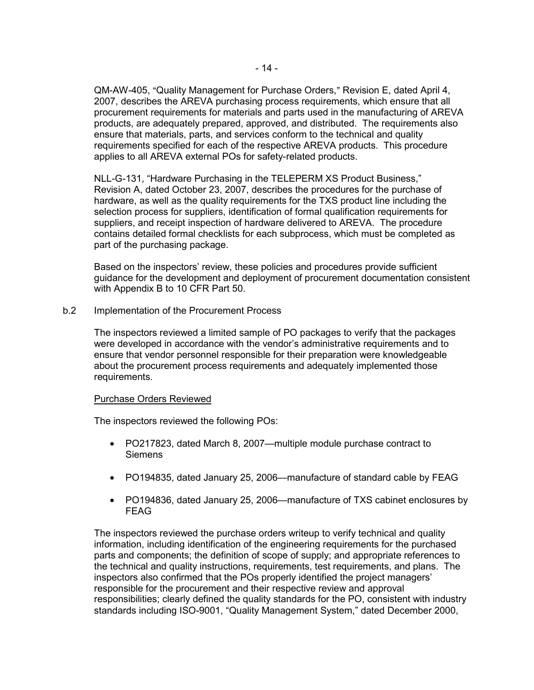QM-AW-405, "Quality Management for Purchase Orders," Revision E, dated April 4, 2007, describes the AREVA purchasing process requirements, which ensure that all procurement requirements for materials and parts used in the manufacturing of AREVA products, are adequately prepared, approved, and distributed. The requirements also ensure that materials, parts, and services conform to the technical and quality requirements specified for each of the respective AREVA products. This procedure applies to all AREVA external POs for safety-related products.

NLL-G-131, "Hardware Purchasing in the TELEPERM XS Product Business," Revision A, dated October 23, 2007, describes the procedures for the purchase of hardware, as well as the quality requirements for the TXS product line including the selection process for suppliers, identification of formal qualification requirements for suppliers, and receipt inspection of hardware delivered to AREVA. The procedure contains detailed formal checklists for each subprocess, which must be completed as part of the purchasing package.

Based on the inspectors' review, these policies and procedures provide sufficient guidance for the development and deployment of procurement documentation consistent with Appendix B to 10 CFR Part 50.

b.2 Implementation of the Procurement Process

The inspectors reviewed a limited sample of PO packages to verify that the packages were developed in accordance with the vendor's administrative requirements and to ensure that vendor personnel responsible for their preparation were knowledgeable about the procurement process requirements and adequately implemented those requirements.

## Purchase Orders Reviewed

The inspectors reviewed the following POs:

- PO217823, dated March 8, 2007—multiple module purchase contract to **Siemens**
- PO194835, dated January 25, 2006—manufacture of standard cable by FEAG
- PO194836, dated January 25, 2006—manufacture of TXS cabinet enclosures by FEAG

The inspectors reviewed the purchase orders writeup to verify technical and quality information, including identification of the engineering requirements for the purchased parts and components; the definition of scope of supply; and appropriate references to the technical and quality instructions, requirements, test requirements, and plans. The inspectors also confirmed that the POs properly identified the project managers' responsible for the procurement and their respective review and approval responsibilities; clearly defined the quality standards for the PO, consistent with industry standards including ISO-9001, "Quality Management System," dated December 2000,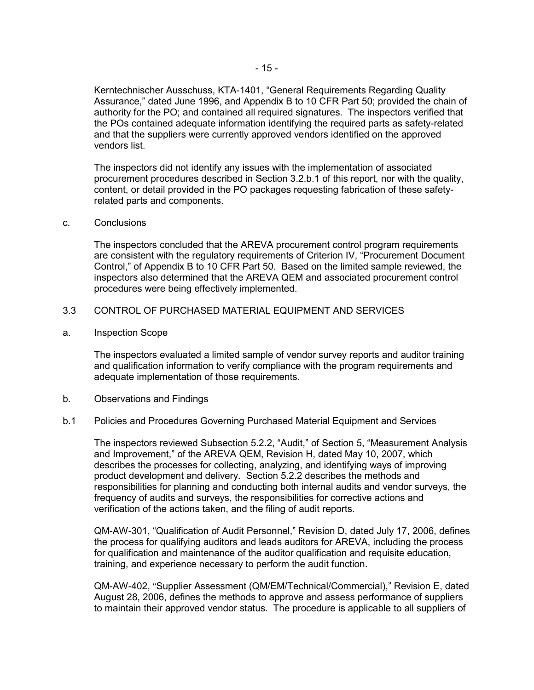Kerntechnischer Ausschuss, KTA-1401, "General Requirements Regarding Quality Assurance," dated June 1996, and Appendix B to 10 CFR Part 50; provided the chain of authority for the PO; and contained all required signatures. The inspectors verified that the POs contained adequate information identifying the required parts as safety-related and that the suppliers were currently approved vendors identified on the approved vendors list.

The inspectors did not identify any issues with the implementation of associated procurement procedures described in Section 3.2.b.1 of this report, nor with the quality, content, or detail provided in the PO packages requesting fabrication of these safetyrelated parts and components.

c. Conclusions

The inspectors concluded that the AREVA procurement control program requirements are consistent with the regulatory requirements of Criterion IV, "Procurement Document Control," of Appendix B to 10 CFR Part 50. Based on the limited sample reviewed, the inspectors also determined that the AREVA QEM and associated procurement control procedures were being effectively implemented.

## 3.3 CONTROL OF PURCHASED MATERIAL EQUIPMENT AND SERVICES

a. Inspection Scope

The inspectors evaluated a limited sample of vendor survey reports and auditor training and qualification information to verify compliance with the program requirements and adequate implementation of those requirements.

b. Observations and Findings

#### b.1 Policies and Procedures Governing Purchased Material Equipment and Services

The inspectors reviewed Subsection 5.2.2, "Audit," of Section 5, "Measurement Analysis and Improvement," of the AREVA QEM, Revision H, dated May 10, 2007, which describes the processes for collecting, analyzing, and identifying ways of improving product development and delivery. Section 5.2.2 describes the methods and responsibilities for planning and conducting both internal audits and vendor surveys, the frequency of audits and surveys, the responsibilities for corrective actions and verification of the actions taken, and the filing of audit reports.

QM-AW-301, "Qualification of Audit Personnel," Revision D, dated July 17, 2006, defines the process for qualifying auditors and leads auditors for AREVA, including the process for qualification and maintenance of the auditor qualification and requisite education, training, and experience necessary to perform the audit function.

QM-AW-402, "Supplier Assessment (QM/EM/Technical/Commercial)," Revision E, dated August 28, 2006, defines the methods to approve and assess performance of suppliers to maintain their approved vendor status. The procedure is applicable to all suppliers of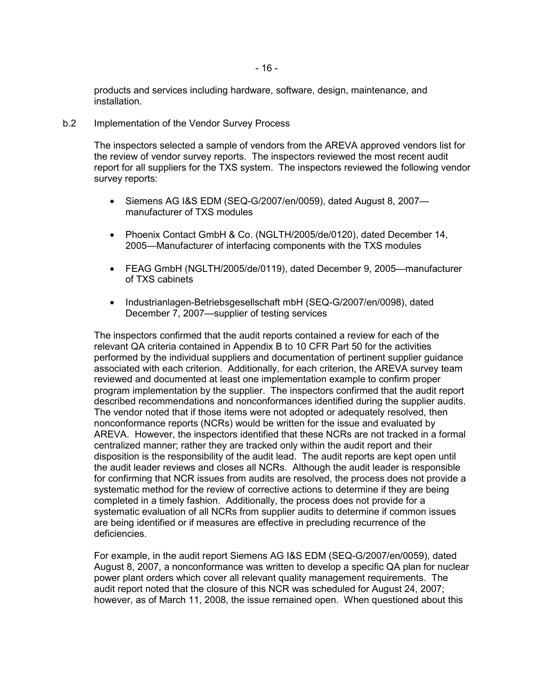products and services including hardware, software, design, maintenance, and installation.

b.2 Implementation of the Vendor Survey Process

The inspectors selected a sample of vendors from the AREVA approved vendors list for the review of vendor survey reports. The inspectors reviewed the most recent audit report for all suppliers for the TXS system. The inspectors reviewed the following vendor survey reports:

- Siemens AG I&S EDM (SEQ-G/2007/en/0059), dated August 8, 2007 manufacturer of TXS modules
- Phoenix Contact GmbH & Co. (NGLTH/2005/de/0120), dated December 14, 2005—Manufacturer of interfacing components with the TXS modules
- FEAG GmbH (NGLTH/2005/de/0119), dated December 9, 2005—manufacturer of TXS cabinets
- Industrianlagen-Betriebsgesellschaft mbH (SEQ-G/2007/en/0098), dated December 7, 2007—supplier of testing services

The inspectors confirmed that the audit reports contained a review for each of the relevant QA criteria contained in Appendix B to 10 CFR Part 50 for the activities performed by the individual suppliers and documentation of pertinent supplier guidance associated with each criterion. Additionally, for each criterion, the AREVA survey team reviewed and documented at least one implementation example to confirm proper program implementation by the supplier. The inspectors confirmed that the audit report described recommendations and nonconformances identified during the supplier audits. The vendor noted that if those items were not adopted or adequately resolved, then nonconformance reports (NCRs) would be written for the issue and evaluated by AREVA. However, the inspectors identified that these NCRs are not tracked in a formal centralized manner; rather they are tracked only within the audit report and their disposition is the responsibility of the audit lead. The audit reports are kept open until the audit leader reviews and closes all NCRs. Although the audit leader is responsible for confirming that NCR issues from audits are resolved, the process does not provide a systematic method for the review of corrective actions to determine if they are being completed in a timely fashion. Additionally, the process does not provide for a systematic evaluation of all NCRs from supplier audits to determine if common issues are being identified or if measures are effective in precluding recurrence of the deficiencies.

For example, in the audit report Siemens AG I&S EDM (SEQ-G/2007/en/0059), dated August 8, 2007, a nonconformance was written to develop a specific QA plan for nuclear power plant orders which cover all relevant quality management requirements. The audit report noted that the closure of this NCR was scheduled for August 24, 2007; however, as of March 11, 2008, the issue remained open. When questioned about this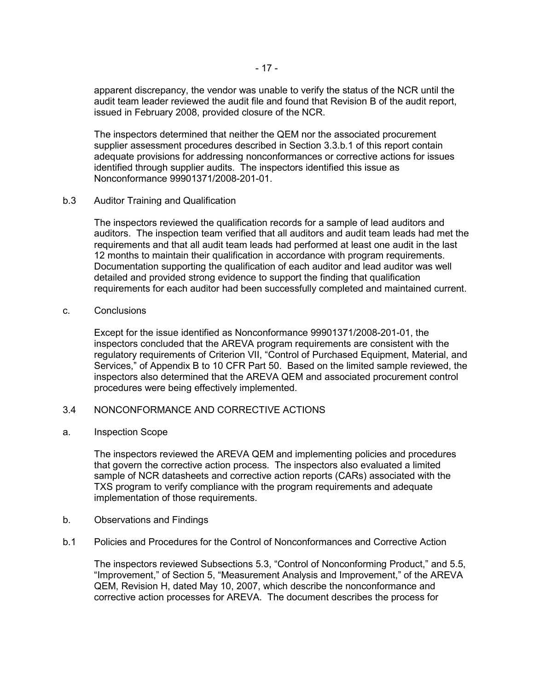apparent discrepancy, the vendor was unable to verify the status of the NCR until the audit team leader reviewed the audit file and found that Revision B of the audit report, issued in February 2008, provided closure of the NCR.

The inspectors determined that neither the QEM nor the associated procurement supplier assessment procedures described in Section 3.3.b.1 of this report contain adequate provisions for addressing nonconformances or corrective actions for issues identified through supplier audits. The inspectors identified this issue as Nonconformance 99901371/2008-201-01.

b.3 Auditor Training and Qualification

The inspectors reviewed the qualification records for a sample of lead auditors and auditors. The inspection team verified that all auditors and audit team leads had met the requirements and that all audit team leads had performed at least one audit in the last 12 months to maintain their qualification in accordance with program requirements. Documentation supporting the qualification of each auditor and lead auditor was well detailed and provided strong evidence to support the finding that qualification requirements for each auditor had been successfully completed and maintained current.

c. Conclusions

Except for the issue identified as Nonconformance 99901371/2008-201-01, the inspectors concluded that the AREVA program requirements are consistent with the regulatory requirements of Criterion VII, "Control of Purchased Equipment, Material, and Services," of Appendix B to 10 CFR Part 50. Based on the limited sample reviewed, the inspectors also determined that the AREVA QEM and associated procurement control procedures were being effectively implemented.

## 3.4 NONCONFORMANCE AND CORRECTIVE ACTIONS

a. Inspection Scope

The inspectors reviewed the AREVA QEM and implementing policies and procedures that govern the corrective action process. The inspectors also evaluated a limited sample of NCR datasheets and corrective action reports (CARs) associated with the TXS program to verify compliance with the program requirements and adequate implementation of those requirements.

- b. Observations and Findings
- b.1 Policies and Procedures for the Control of Nonconformances and Corrective Action

The inspectors reviewed Subsections 5.3, "Control of Nonconforming Product," and 5.5, "Improvement," of Section 5, "Measurement Analysis and Improvement," of the AREVA QEM, Revision H, dated May 10, 2007, which describe the nonconformance and corrective action processes for AREVA. The document describes the process for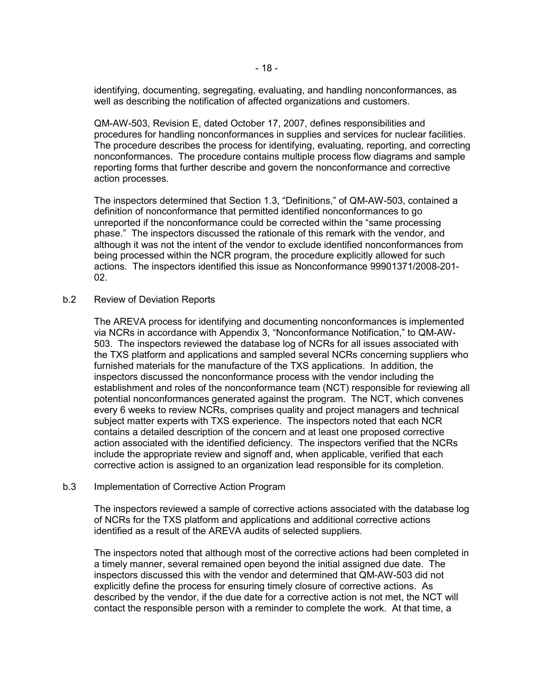identifying, documenting, segregating, evaluating, and handling nonconformances, as well as describing the notification of affected organizations and customers.

QM-AW-503, Revision E, dated October 17, 2007, defines responsibilities and procedures for handling nonconformances in supplies and services for nuclear facilities. The procedure describes the process for identifying, evaluating, reporting, and correcting nonconformances. The procedure contains multiple process flow diagrams and sample reporting forms that further describe and govern the nonconformance and corrective action processes.

The inspectors determined that Section 1.3, "Definitions," of QM-AW-503, contained a definition of nonconformance that permitted identified nonconformances to go unreported if the nonconformance could be corrected within the "same processing phase." The inspectors discussed the rationale of this remark with the vendor, and although it was not the intent of the vendor to exclude identified nonconformances from being processed within the NCR program, the procedure explicitly allowed for such actions. The inspectors identified this issue as Nonconformance 99901371/2008-201- 02.

#### b.2 Review of Deviation Reports

The AREVA process for identifying and documenting nonconformances is implemented via NCRs in accordance with Appendix 3, "Nonconformance Notification," to QM-AW-503. The inspectors reviewed the database log of NCRs for all issues associated with the TXS platform and applications and sampled several NCRs concerning suppliers who furnished materials for the manufacture of the TXS applications. In addition, the inspectors discussed the nonconformance process with the vendor including the establishment and roles of the nonconformance team (NCT) responsible for reviewing all potential nonconformances generated against the program. The NCT, which convenes every 6 weeks to review NCRs, comprises quality and project managers and technical subject matter experts with TXS experience. The inspectors noted that each NCR contains a detailed description of the concern and at least one proposed corrective action associated with the identified deficiency. The inspectors verified that the NCRs include the appropriate review and signoff and, when applicable, verified that each corrective action is assigned to an organization lead responsible for its completion.

#### b.3 Implementation of Corrective Action Program

The inspectors reviewed a sample of corrective actions associated with the database log of NCRs for the TXS platform and applications and additional corrective actions identified as a result of the AREVA audits of selected suppliers.

The inspectors noted that although most of the corrective actions had been completed in a timely manner, several remained open beyond the initial assigned due date. The inspectors discussed this with the vendor and determined that QM-AW-503 did not explicitly define the process for ensuring timely closure of corrective actions. As described by the vendor, if the due date for a corrective action is not met, the NCT will contact the responsible person with a reminder to complete the work. At that time, a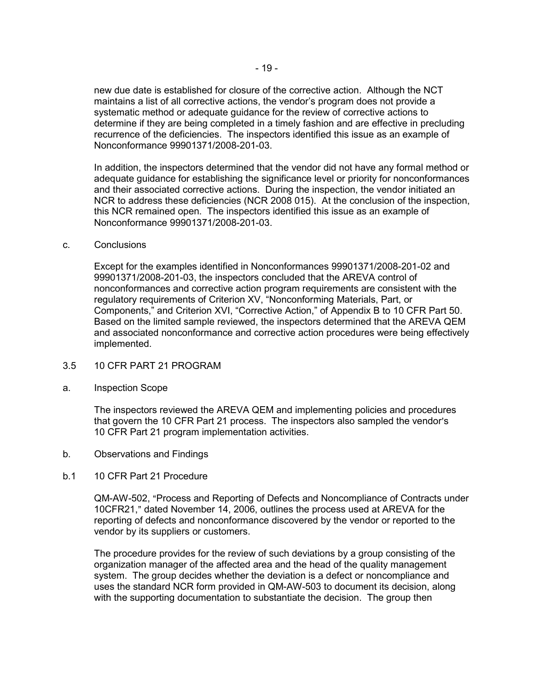new due date is established for closure of the corrective action. Although the NCT maintains a list of all corrective actions, the vendor's program does not provide a systematic method or adequate guidance for the review of corrective actions to determine if they are being completed in a timely fashion and are effective in precluding recurrence of the deficiencies. The inspectors identified this issue as an example of Nonconformance 99901371/2008-201-03.

In addition, the inspectors determined that the vendor did not have any formal method or adequate guidance for establishing the significance level or priority for nonconformances and their associated corrective actions. During the inspection, the vendor initiated an NCR to address these deficiencies (NCR 2008 015). At the conclusion of the inspection, this NCR remained open. The inspectors identified this issue as an example of Nonconformance 99901371/2008-201-03.

## c. Conclusions

Except for the examples identified in Nonconformances 99901371/2008-201-02 and 99901371/2008-201-03, the inspectors concluded that the AREVA control of nonconformances and corrective action program requirements are consistent with the regulatory requirements of Criterion XV, "Nonconforming Materials, Part, or Components," and Criterion XVI, "Corrective Action," of Appendix B to 10 CFR Part 50. Based on the limited sample reviewed, the inspectors determined that the AREVA QEM and associated nonconformance and corrective action procedures were being effectively implemented.

## 3.5 10 CFR PART 21 PROGRAM

a. Inspection Scope

The inspectors reviewed the AREVA QEM and implementing policies and procedures that govern the 10 CFR Part 21 process. The inspectors also sampled the vendor's 10 CFR Part 21 program implementation activities.

- b. Observations and Findings
- b.1 10 CFR Part 21 Procedure

QM-AW-502, "Process and Reporting of Defects and Noncompliance of Contracts under 10CFR21," dated November 14, 2006, outlines the process used at AREVA for the reporting of defects and nonconformance discovered by the vendor or reported to the vendor by its suppliers or customers.

The procedure provides for the review of such deviations by a group consisting of the organization manager of the affected area and the head of the quality management system. The group decides whether the deviation is a defect or noncompliance and uses the standard NCR form provided in QM-AW-503 to document its decision, along with the supporting documentation to substantiate the decision. The group then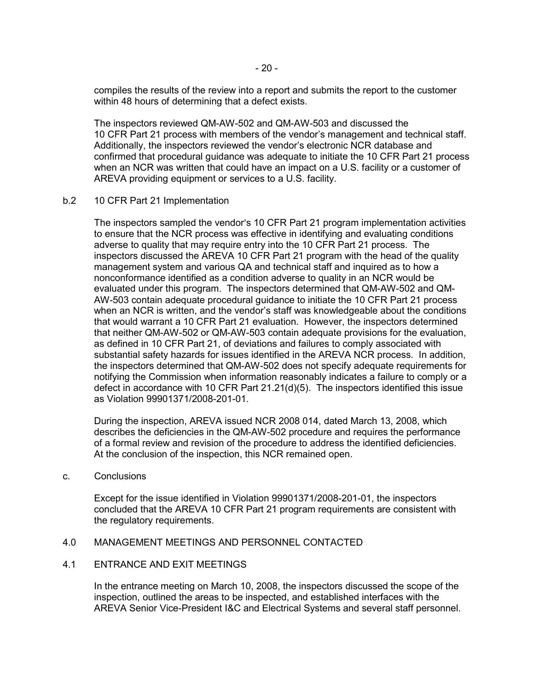compiles the results of the review into a report and submits the report to the customer within 48 hours of determining that a defect exists.

The inspectors reviewed QM-AW-502 and QM-AW-503 and discussed the 10 CFR Part 21 process with members of the vendor's management and technical staff. Additionally, the inspectors reviewed the vendor's electronic NCR database and confirmed that procedural guidance was adequate to initiate the 10 CFR Part 21 process when an NCR was written that could have an impact on a U.S. facility or a customer of AREVA providing equipment or services to a U.S. facility.

#### b.2 10 CFR Part 21 Implementation

The inspectors sampled the vendor's 10 CFR Part 21 program implementation activities to ensure that the NCR process was effective in identifying and evaluating conditions adverse to quality that may require entry into the 10 CFR Part 21 process. The inspectors discussed the AREVA 10 CFR Part 21 program with the head of the quality management system and various QA and technical staff and inquired as to how a nonconformance identified as a condition adverse to quality in an NCR would be evaluated under this program. The inspectors determined that QM-AW-502 and QM-AW-503 contain adequate procedural guidance to initiate the 10 CFR Part 21 process when an NCR is written, and the vendor's staff was knowledgeable about the conditions that would warrant a 10 CFR Part 21 evaluation. However, the inspectors determined that neither QM-AW-502 or QM-AW-503 contain adequate provisions for the evaluation, as defined in 10 CFR Part 21, of deviations and failures to comply associated with substantial safety hazards for issues identified in the AREVA NCR process. In addition, the inspectors determined that QM-AW-502 does not specify adequate requirements for notifying the Commission when information reasonably indicates a failure to comply or a defect in accordance with 10 CFR Part 21.21(d)(5). The inspectors identified this issue as Violation 99901371/2008-201-01.

During the inspection, AREVA issued NCR 2008 014, dated March 13, 2008, which describes the deficiencies in the QM-AW-502 procedure and requires the performance of a formal review and revision of the procedure to address the identified deficiencies. At the conclusion of the inspection, this NCR remained open.

#### c. Conclusions

Except for the issue identified in Violation 99901371/2008-201-01, the inspectors concluded that the AREVA 10 CFR Part 21 program requirements are consistent with the regulatory requirements.

## 4.0 MANAGEMENT MEETINGS AND PERSONNEL CONTACTED

## 4.1 ENTRANCE AND EXIT MEETINGS

In the entrance meeting on March 10, 2008, the inspectors discussed the scope of the inspection, outlined the areas to be inspected, and established interfaces with the AREVA Senior Vice-President I&C and Electrical Systems and several staff personnel.